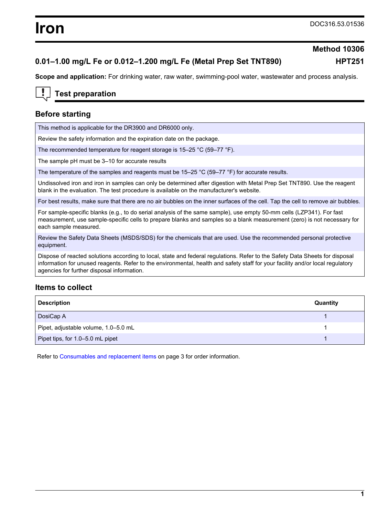# **0.01–1.00 mg/L Fe or 0.012–1.200 mg/L Fe (Metal Prep Set TNT890) HPT251**

# **Method 10306**

**Scope and application:** For drinking water, raw water, swimming-pool water, wastewater and process analysis.

# **Test preparation**

## **Before starting**

This method is applicable for the DR3900 and DR6000 only.

Review the safety information and the expiration date on the package.

The recommended temperature for reagent storage is 15–25 °C (59–77 °F).

The sample pH must be 3–10 for accurate results

The temperature of the samples and reagents must be 15–25 °C (59–77 °F) for accurate results.

Undissolved iron and iron in samples can only be determined after digestion with Metal Prep Set TNT890. Use the reagent blank in the evaluation. The test procedure is available on the manufacturer's website.

For best results, make sure that there are no air bubbles on the inner surfaces of the cell. Tap the cell to remove air bubbles.

For sample-specific blanks (e.g., to do serial analysis of the same sample), use empty 50-mm cells (LZP341). For fast measurement, use sample-specific cells to prepare blanks and samples so a blank measurement (zero) is not necessary for each sample measured.

Review the Safety Data Sheets (MSDS/SDS) for the chemicals that are used. Use the recommended personal protective equipment.

Dispose of reacted solutions according to local, state and federal regulations. Refer to the Safety Data Sheets for disposal information for unused reagents. Refer to the environmental, health and safety staff for your facility and/or local regulatory agencies for further disposal information.

### **Items to collect**

| <b>Description</b>                   | Quantity |
|--------------------------------------|----------|
| DosiCap A                            |          |
| Pipet, adjustable volume, 1.0-5.0 mL |          |
| Pipet tips, for 1.0-5.0 mL pipet     |          |

Refer to [Consumables and replacement items](#page-2-0) on page 3 for order information.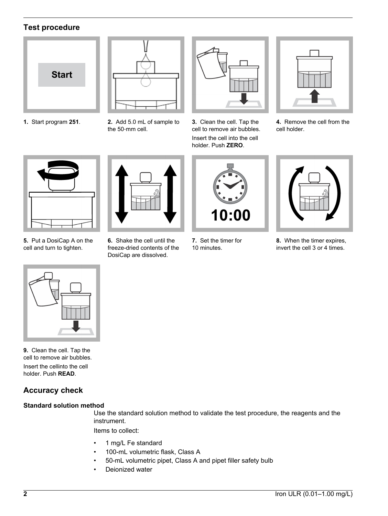# **Test procedure**



**1.** Start program **251**. **2.** Add 5.0 mL of sample to the 50‑mm cell.



**3.** Clean the cell. Tap the cell to remove air bubbles. Insert the cell into the cell holder. Push **ZERO**.



**4.** Remove the cell from the cell holder.



**5.** Put a DosiCap A on the cell and turn to tighten.



**6.** Shake the cell until the freeze-dried contents of the DosiCap are dissolved.



**7.** Set the timer for 10 minutes.



**8.** When the timer expires, invert the cell 3 or 4 times.



**9.** Clean the cell. Tap the cell to remove air bubbles.

Insert the cellinto the cell holder. Push **READ**.

# **Accuracy check**

### **Standard solution method**

Use the standard solution method to validate the test procedure, the reagents and the instrument.

Items to collect:

- 1 mg/L Fe standard
- 100-mL volumetric flask, Class A
- 50-mL volumetric pipet, Class A and pipet filler safety bulb
- Deionized water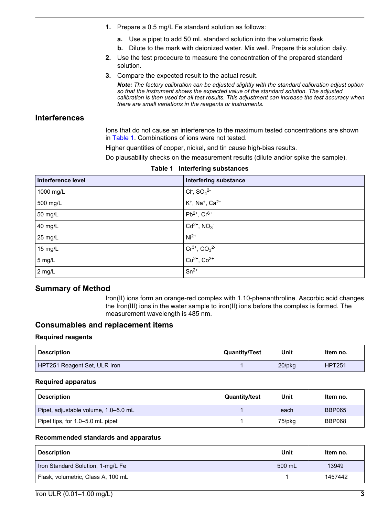- <span id="page-2-0"></span>**1.** Prepare a 0.5 mg/L Fe standard solution as follows:
	- **a.** Use a pipet to add 50 mL standard solution into the volumetric flask.
	- **b.** Dilute to the mark with deionized water. Mix well. Prepare this solution daily.
- **2.** Use the test procedure to measure the concentration of the prepared standard solution.
- **3.** Compare the expected result to the actual result.

*Note: The factory calibration can be adjusted slightly with the standard calibration adjust option so that the instrument shows the expected value of the standard solution. The adjusted calibration is then used for all test results. This adjustment can increase the test accuracy when there are small variations in the reagents or instruments.*

# **Interferences**

Ions that do not cause an interference to the maximum tested concentrations are shown in Table 1. Combinations of ions were not tested.

Higher quantities of copper, nickel, and tin cause high-bias results.

Do plausability checks on the measurement results (dilute and/or spike the sample).

| Interference level | <b>Interfering substance</b>                  |
|--------------------|-----------------------------------------------|
| 1000 mg/L          | $Cl^-$ , $SO_4^2$                             |
| 500 mg/L           | $K^+$ , Na <sup>+</sup> , Ca <sup>2+</sup>    |
| 50 mg/L            | $Pb^{2+}$ , $Cr^{6+}$                         |
| 40 mg/L            | $Cd^{2+}$ , $NO_3^-$                          |
| 25 mg/L            | $Ni2+$                                        |
| 15 mg/L            | $\frac{Cr^{3+}, CO_3^{2-}}{Cu^{2+}, CO^{2+}}$ |
| 5 mg/L             |                                               |
| 2 mg/L             | $Sn^{2+}$                                     |

#### **Table 1 Interfering substances**

# **Summary of Method**

Iron(II) ions form an orange-red complex with 1.10-phenanthroline. Ascorbic acid changes the Iron(III) ions in the water sample to iron(II) ions before the complex is formed. The measurement wavelength is 485 nm.

# **Consumables and replacement items**

#### **Required reagents**

| Description                  | <b>Quantity/Test</b> | Unit      | Item no.      |
|------------------------------|----------------------|-----------|---------------|
| HPT251 Reagent Set, ULR Iron |                      | $20$ /pkq | <b>HPT251</b> |

### **Required apparatus**

| <b>Description</b>                   | <b>Quantity/test</b> | Unit   | Item no.      |
|--------------------------------------|----------------------|--------|---------------|
| Pipet, adjustable volume, 1.0–5.0 mL |                      | each   | <b>BBP065</b> |
| Pipet tips, for 1.0-5.0 mL pipet     |                      | 75/pkg | BBP068        |

### **Recommended standards and apparatus**

| <b>Description</b>                 | Unit   | Item no. |
|------------------------------------|--------|----------|
| Iron Standard Solution, 1-mg/L Fe  | 500 mL | 13949    |
| Flask, volumetric, Class A, 100 mL |        | 1457442  |